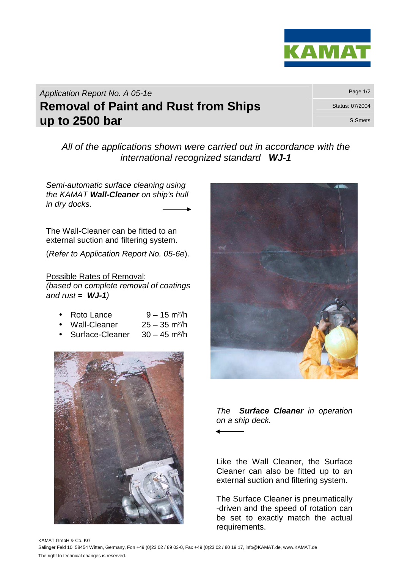

Application Report No. A 05-1e **Removal of Paint and Rust from Ships** Status: 07/2004 **up to 2500 bar** S.Smets **Up to 2500 bar** 

All of the applications shown were carried out in accordance with the international recognized standard **WJ-1**

Semi-automatic surface cleaning using the KAMAT **Wall-Cleaner** on ship's hull in dry docks.

The Wall-Cleaner can be fitted to an external suction and filtering system.

(Refer to Application Report No. 05-6e).

Possible Rates of Removal: (based on complete removal of coatings and  $rust = WJ-1$ )

|  | Roto Lance | $9 - 15$ m <sup>2</sup> /h |
|--|------------|----------------------------|
|--|------------|----------------------------|

- Wall-Cleaner 25 35 m²/h
- Surface-Cleaner 30 45 m²/h





The **Surface Cleaner** in operation on a ship deck.

Like the Wall Cleaner, the Surface Cleaner can also be fitted up to an external suction and filtering system.

The Surface Cleaner is pneumatically -driven and the speed of rotation can be set to exactly match the actual requirements.

KAMAT GmbH & Co. KG Salinger Feld 10, 58454 Witten, Germany, Fon +49 (0)23 02 / 89 03-0, Fax +49 (0)23 02 / 80 19 17, info@KAMAT.de, www.KAMAT.de The right to technical changes is reserved.